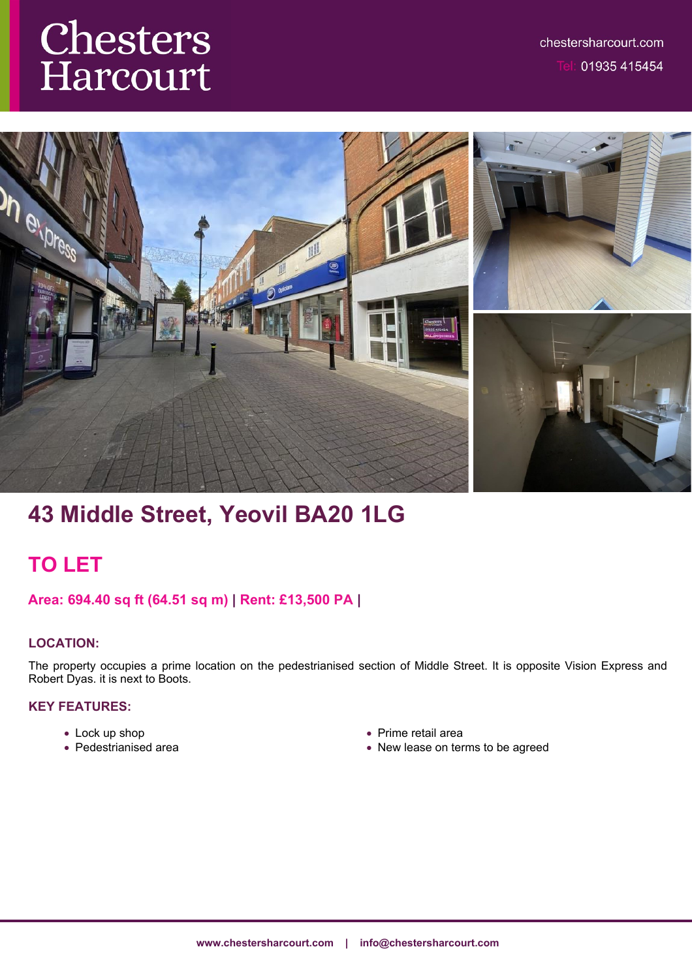# **Chesters**<br>Harcourt



# **43 Middle Street, Yeovil BA20 1LG**

# **TO LET**

# **Area: 694.40 sq ft (64.51 sq m) | Rent: £13,500 PA |**

# **LOCATION:**

The property occupies a prime location on the pedestrianised section of Middle Street. It is opposite Vision Express and Robert Dyas. it is next to Boots.

## **KEY FEATURES:**

- Lock up shop
- Pedestrianised area
- Prime retail area
- New lease on terms to be agreed